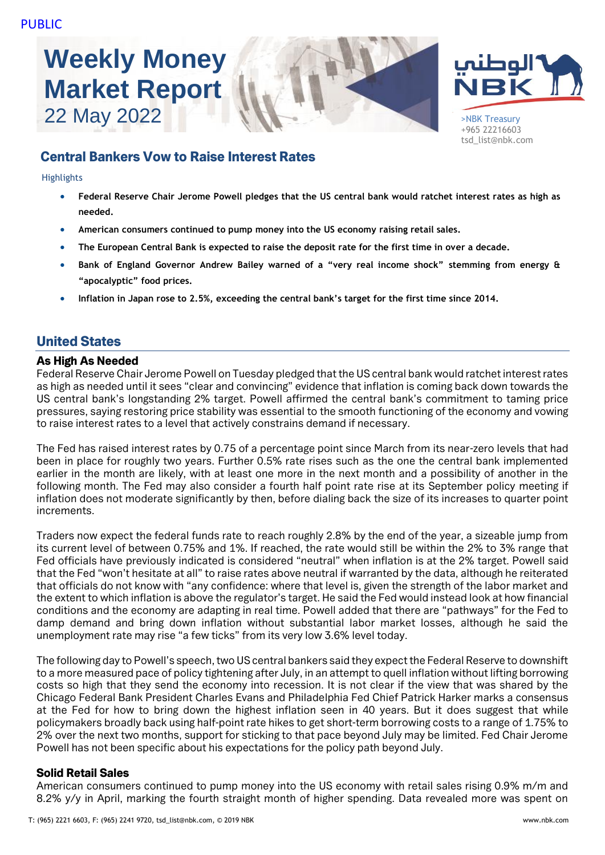# **Weekly Money Market Report**





+965 22216603 tsd\_list@nbk.com

## Central Bankers Vow to Raise Interest Rates

Highlights

- **Federal Reserve Chair Jerome Powell pledges that the US central bank would ratchet interest rates as high as needed.**
- **American consumers continued to pump money into the US economy raising retail sales.**
- **The European Central Bank is expected to raise the deposit rate for the first time in over a decade.**
- **Bank of England Governor Andrew Bailey warned of a "very real income shock" stemming from energy & "apocalyptic" food prices.**
- **Inflation in Japan rose to 2.5%, exceeding the central bank's target for the first time since 2014.**

## United States

## As High As Needed

Federal Reserve Chair Jerome Powell on Tuesday pledged that the US central bank would ratchet interest rates as high as needed until it sees "clear and convincing" evidence that inflation is coming back down towards the US central bank's longstanding 2% target. Powell affirmed the central bank's commitment to taming price pressures, saying restoring price stability was essential to the smooth functioning of the economy and vowing to raise interest rates to a level that actively constrains demand if necessary.

The Fed has raised interest rates by 0.75 of a percentage point since March from its near-zero levels that had been in place for roughly two years. Further 0.5% rate rises such as the one the central bank implemented earlier in the month are likely, with at least one more in the next month and a possibility of another in the following month. The Fed may also consider a fourth half point rate rise at its September policy meeting if inflation does not moderate significantly by then, before dialing back the size of its increases to quarter point increments.

Traders now expect the federal funds rate to reach roughly 2.8% by the end of the year, a sizeable jump from its current level of between 0.75% and 1%. If reached, the rate would still be within the 2% to 3% range that Fed officials have previously indicated is considered "neutral" when inflation is at the 2% target. Powell said that the Fed "won't hesitate at all" to raise rates above neutral if warranted by the data, although he reiterated that officials do not know with "any confidence: where that level is, given the strength of the labor market and the extent to which inflation is above the regulator's target. He said the Fed would instead look at how financial conditions and the economy are adapting in real time. Powell added that there are "pathways" for the Fed to damp demand and bring down inflation without substantial labor market losses, although he said the unemployment rate may rise "a few ticks" from its very low 3.6% level today.

The following day to Powell's speech, two US central bankers said they expect the Federal Reserve to downshift to a more measured pace of policy tightening after July, in an attempt to quell inflation without lifting borrowing costs so high that they send the economy into recession. It is not clear if the view that was shared by the Chicago Federal Bank President Charles Evans and Philadelphia Fed Chief Patrick Harker marks a consensus at the Fed for how to bring down the highest inflation seen in 40 years. But it does suggest that while policymakers broadly back using half-point rate hikes to get short-term borrowing costs to a range of 1.75% to 2% over the next two months, support for sticking to that pace beyond July may be limited. Fed Chair Jerome Powell has not been specific about his expectations for the policy path beyond July.

## Solid Retail Sales

American consumers continued to pump money into the US economy with retail sales rising 0.9% m/m and 8.2% y/y in April, marking the fourth straight month of higher spending. Data revealed more was spent on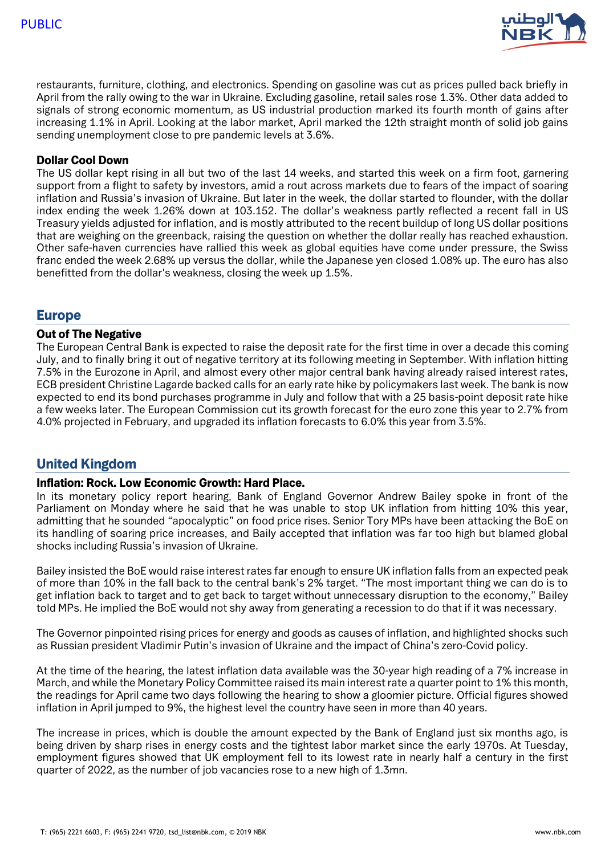

restaurants, furniture, clothing, and electronics. Spending on gasoline was cut as prices pulled back briefly in April from the rally owing to the war in Ukraine. Excluding gasoline, retail sales rose 1.3%. Other data added to signals of strong economic momentum, as US industrial production marked its fourth month of gains after increasing 1.1% in April. Looking at the labor market, April marked the 12th straight month of solid job gains sending unemployment close to pre pandemic levels at 3.6%.

## Dollar Cool Down

The US dollar kept rising in all but two of the last 14 weeks, and started this week on a firm foot, garnering support from a flight to safety by investors, amid a rout across markets due to fears of the impact of soaring inflation and Russia's invasion of Ukraine. But later in the week, the dollar started to flounder, with the dollar index ending the week 1.26% down at 103.152. The dollar's weakness partly reflected a recent fall in US Treasury yields adjusted for inflation, and is mostly attributed to the recent buildup of long US dollar positions that are weighing on the greenback, raising the question on whether the dollar really has reached exhaustion. Other safe-haven currencies have rallied this week as global equities have come under pressure, the Swiss franc ended the week 2.68% up versus the dollar, while the Japanese yen closed 1.08% up. The euro has also benefitted from the dollar's weakness, closing the week up 1.5%.

## Europe

#### Out of The Negative

The European Central Bank is expected to raise the deposit rate for the first time in over a decade this coming July, and to finally bring it out of negative territory at its following meeting in September. With inflation hitting 7.5% in the Eurozone in April, and almost every other major central bank having already raised interest rates, ECB president Christine Lagarde backed calls for an early rate hike by policymakers last week. The bank is now expected to end its bond purchases programme in July and follow that with a 25 basis-point deposit rate hike a few weeks later. The European Commission cut its growth forecast for the euro zone this year to 2.7% from 4.0% projected in February, and upgraded its inflation forecasts to 6.0% this year from 3.5%.

## United Kingdom

## Inflation: Rock. Low Economic Growth: Hard Place.

In its monetary policy report hearing, Bank of England Governor Andrew Bailey spoke in front of the Parliament on Monday where he said that he was unable to stop UK inflation from hitting 10% this year, admitting that he sounded "apocalyptic" on food price rises. Senior Tory MPs have been attacking the BoE on its handling of soaring price increases, and Baily accepted that inflation was far too high but blamed global shocks including Russia's invasion of Ukraine.

Bailey insisted the BoE would raise interest rates far enough to ensure UK inflation falls from an expected peak of more than 10% in the fall back to the central bank's 2% target. "The most important thing we can do is to get inflation back to target and to get back to target without unnecessary disruption to the economy," Bailey told MPs. He implied the BoE would not shy away from generating a recession to do that if it was necessary.

The Governor pinpointed rising prices for energy and goods as causes of inflation, and highlighted shocks such as Russian president Vladimir Putin's invasion of Ukraine and the impact of China's zero-Covid policy.

At the time of the hearing, the latest inflation data available was the 30-year high reading of a 7% increase in March, and while the Monetary Policy Committee raised its main interest rate a quarter point to 1% this month, the readings for April came two days following the hearing to show a gloomier picture. Official figures showed inflation in April jumped to 9%, the highest level the country have seen in more than 40 years.

The increase in prices, which is double the amount expected by the Bank of England just six months ago, is being driven by sharp rises in energy costs and the tightest labor market since the early 1970s. At Tuesday, employment figures showed that UK employment fell to its lowest rate in nearly half a century in the first quarter of 2022, as the number of job vacancies rose to a new high of 1.3mn.